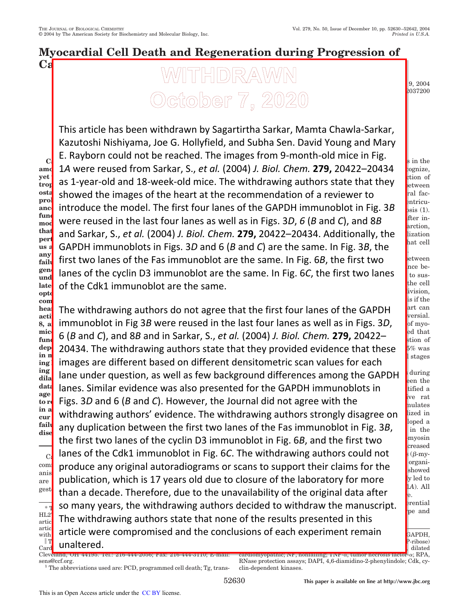# **Myocardial Cell Death and Regeneration during Progression of**

## $\mathbf{C}$ a $\overline{\phantom{a}}$ Received for publication, February 24, 2004, and in revised form, September 9, 2004 Published, J $\beta$ BC Papers in Press, September 2004, 2004, 2004, 2004, DOI 10.1074/jbc.M402000 **Sagartirtha Sarkar‡, Mamta Chawla-Sarkar§, David Young‡, Kazutoshi Nishiyama¶,**

This article has been withdrawn by Sagartirtha Sarkar, Mamta Chawla-Sarkar, and *Institute, The Cleveland Clinic Foundation, Cleveland, Ohio 44195* Kazutoshi Nishiyama, Joe G. Hollyfield, and Subha Sen. David Young and Mary **C.** E. Rayborn could not be reached. The images from 9-month-old mice in Fig.  $\qquad \int_{s \text{ in the } s}$ amd 1A were reused from Sarkar, S., et al. (2004) J. Biol. Chem. 279, 20422–20434  $\frac{1}{2}$   $\frac{1}{2}$ **yet the triggering mechanisms for progression of hyper**trop<sup>r</sup> ds I-year-Old and Io-week-Old mice. Th ostas chowed the images of the heart at the **r** proliferation and analyses of the neart at the **no** ance introduce the model. The first four lane **function. Recently, we developed a transgenic (Tg) mouse Tung** were reused in the last four lanes as well as in Figs. 3D, 6 (B and C), and 8B f<sup>fter in-</sup> **that** and Sarkar S *et al 1*2004) I Riol Chem  $\frac{\text{that}}{\text{perl}}$  and Sarkar, S., *et al.* (2004) *J. Biol. Chem.* 279, 20422–20434. Additionally, the light call **us a** GAPDH immunoblots in Figs. 3D and 6 (B and C) are the same. In Fig. 3B, the stated cell any  $\mathbf{r}$ ,  $\mathbf{r}$  any  $\mathbf{r}$  is the stage heart of  $\mathbf{r}$ any first two lanes of the Fas immunoblot are the same. In Fig. 6*B*, the first two setween generative of the cyclin D<sub>2</sub> immunoblet are the Tg more **und** rando or the eyenn bo minimumobiot are t late of the Cdk1 immunoblot are the same. **optotic genes were up-regulated in 9-month-old Tg hearts** there is evidence that position of  $\mathbf{r}$  is denoted in  $\mathbf{r}$  in  $\mathbf{r}$  of as 1-year-old and 18-week-old mice. The withdrawing authors state that they  $\int_{\text{between}}^{\text{cton}}$  or showed the images of the heart at the recommendation of a reviewer to some ral factors. Volume overload and elevated end-diastolic left ventricuintroduce the model. The first four lanes of the GAPDH immunoblot in Fig. 3*B*  $\int_{\text{osis (1)}}^{\text{partrecu}}$ were reused in the last four lanes as well as in Figs. 3*D, 6* (*B* and *C*), and 8*B* f<sup>iter in-</sup> GAPDH immunoblots in Figs. 3D and 6 (*B* and *C*) are the same. In Fig. 3*B*, the cell problem, differentiation, and delanes of the cyclin D3 immunoblot are the same. In Fig. 6*C*, the first two lanes  $\int_{\text{to sus}}^{\text{nce be-}}$ 

**com** hearth The withdrawing authors do not agree that the first four lanes of the GAPDH ant can **acti of Fass 1, and case 1, and case 9,** 8, a<mark>n</mark>d immunobiot in Fig 3*B* were reused in th  $\text{mic}$   $\epsilon$  (*D* and *C*) and 2*D* and in Carliar *C* at function of the air of the significant of the significant of the function  $\mathbf{r}_i$ dep<mark>t</mark> 20434. The withdrawing authors state that they provided evidence that these  $\frac{5\%}{5\%}$  was in m<sub>y</sub> and the mathematic ground character is a state of the state of the state of the state of the state of the state of the state of the state of the state of the state of the state of the state of the state of the stat ing **i** Images are different based on different **ing induction of active caspase 3 and Ki-67 proteins in dila** lane under question, as well as few background differences among the GAPDH  $\int_{en}^{ldring}$ <sup>data</sup> Janes, Similar evidence was also presen data lanes. Similar evidence was also presented for the GAPDH immunoblots in the stified and **integral model.** We have the state and the state and the state and the state and the state and the state and the state and the s **to re** Figs. 3D and 6 (B and C). However, the Journal did not agree with the second we rate  $\overline{\text{in a}}$  and the decomposition of the problems of  $\overline{\text{in a}}$ ma withdrawing authors' evidence. The withdrawing authors strongly disagree on strain **failure.** The original conset of the one of the only in the set of the set of the set of the set of the set of the set of the set of the set of the set of the set of the set of the set of the set of the set of the set of c. lanes of the Cdk1 immunoblot in Fig. 6*C*. The withdrawing authors could not  $\overline{\text{com}}$  produce any original autoradiograms or scans to sunnort their claims for the  $\overline{\text{com}}$ anisms for progression of cardiac hypertrophy to heart failure  $\frac{a_{\text{me}}}{a_{\text{ref}}}$  publication, which is 17 years old due to closure of the laboratory for more  $\frac{1}{\text{gen}}$  is the protocomputation of the unavailability of the exiginal data after  $\frac{1}{\text{gen}}$ . All grow by multiplication of  $\frac{1}{2}$  wersial. immunoblot in Fig 3*B* were reused in the last four lanes as well as in Figs. 3*D*, so the myo- $\cos(\theta)$  replication  $\cos(\theta)$  in the fact that 6 (*B* and *C*), and 8*B* and in Sarkar, S., *et al.* (2004) *J. Biol. Chem.* 279, 20422–thistion of measured in terminal stages in terminal stages images are different based on different densitometric scan values for each lane under question, as well as few background differences among the GAPDH  $\int_{en}^{ldring}$ Figs. 3*D* and 6 (*B* and *C*). However, the Journal did not agree with the  $\frac{N}{n}$  and  $\frac{N}{n}$  and  $\frac{N}{n}$  and  $\frac{N}{n}$  and  $\frac{N}{n}$  and  $\frac{N}{n}$  and  $\frac{N}{n}$  and  $\frac{N}{n}$  and  $\frac{N}{n}$  and  $\frac{N}{n}$  and  $\frac{N$ any duplication between the first two lanes of the Fas immunoblot in Fig. 3*B*,  $\int_{\text{in the}}^{\text{loped a}}$ inheart in Eig  $6R$  and the first two straightness regulation the first two lanes of the cyclin D3 immunoblot in Fig. 6*B*, and the first two **the information** creased produce any original autoradiograms or scans to support their claims for the  $\bigcup_{\text{showed}}^{\text{organ}}$ than a decade. Therefore, due to the unavailability of the original data after  $\int_{e}^{2\pi}$ so many years, the withdrawing authors decided to withdraw the manuscript.  $\frac{1}{2}$  pertitial  $\text{HL2}$  The withdrowing outhors state that por  $\frac{HLS}{\text{artic}}$  The withdrawing authors state that none of the results presented in this article must the must therefore and *added* and the cond  $\frac{\text{artic}}{\text{with}}$  article were compromised and the conclusions of each experiment remain  $\frac{1}{\text{GAPDH}}$  $\mathbb{T}$  unaltored:  $\blacksquare$  $\frac{||\textbf{T}||}{||\textbf{Card}|}$  unaltered.

the cell livision, is if the

 $(\beta$ -my-

 $P$ -ribose) polymerase; p $\mathbf{Q}$ , dilated

Cleveland, OH 44195. Tel.: 216-444-2056; Fax: 216-444-3110; E-mail: sens@ccf.org. <sup>1</sup> The abbreviations used are: PCD, programmed cell death; Tg, trans $c$ ardiomyopathic; NF, nonfailing; TNF- $\alpha$ , tumor necrosis factor- $\alpha$ ; RPA, RNase protection assays; DAPI, 4,6-diamidino-2-phenylindole; Cdk, cyclin-dependent kinases.

dise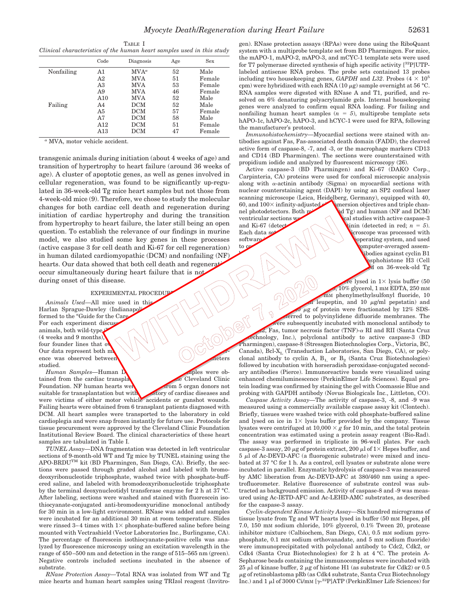|                                                                        | TABLE I |  |  |  |
|------------------------------------------------------------------------|---------|--|--|--|
| Clinical characteristics of the human heart samples used in this study |         |  |  |  |

|            | Code | Diagnosis    | Age | <b>Sex</b> |  |
|------------|------|--------------|-----|------------|--|
| Nonfailing | A1   | $MVA^a$      | 52  | Male       |  |
|            | A2   | <b>MVA</b>   | 51  | Female     |  |
|            | A3   | MVA          | 53  | Female     |  |
|            | A9   | <b>MVA</b>   | 46  | Female     |  |
|            | A10  | <b>MVA</b>   | 52  | Male       |  |
| Failing    | A4   | DCM          | 52  | Male       |  |
|            | A5   | DCM          | 57  | Female     |  |
|            | Α7   | DCM          | 58  | Male       |  |
|            | A12  | DCM          | 51  | Female     |  |
|            | A13  | $_{\rm DCM}$ | 47  | Female     |  |

*<sup>a</sup>* MVA, motor vehicle accident.

transgenic animals during initiation (about 4 weeks of age) and transition of hypertrophy to heart failure (around 36 weeks of age). A cluster of apoptotic genes, as well as genes involved in cellular regeneration, was found to be significantly up-regulated in 36-week-old Tg mice heart samples but not those from 4-week-old mice (9). Therefore, we chose to study the molecular changes for both cardiac cell death and regeneration during initiation of cardiac hypertrophy and during the transition from hypertrophy to heart failure, the later still being an open question. To establish the relevance of our findings in murine model, we also studied some key genes in these processes (active caspase 3 for cell death and Ki-67 for cell regeneration) in human dilated cardiomyopathic (DCM) and nonfailing (NF) hearts. Our data showed that both cell death and regeneration occur simultaneously during heart failure that is not during onset of this disease.

#### EXPERIMENTAL PROCEDUP

*Animals Used*—All mice used in this study and the "Guide for the Care" med to the "Guide for the Care" of the Care of the Care of the Care of the Study weeks and 9 months), were also all the study were the care was check Harlan Sprague-Dawley (Indianapolis formed to the "Guide for the Care For each experiment discus animals, both wild-type  $\mathcal O$  $(4$  weeks and 9 months). four founder lines that ov Our data represent both  $m$ ence was observed between studied.

*Human Samples—Human D*<br>
ined from the cardiac transplation of the Cleveland Clinic tained from the cardiac transpla Foundation. NF human hearts were obtained from 5 organ donors not suitable for transplantation but with no history of cardiac diseases and were victims of either motor vehicle accidents or gunshot wounds. Failing hearts were obtained from 6 transplant patients diagnosed with DCM. All heart samples were transported to the laboratory in cold cardioplegia and were snap frozen instantly for future use. Protocols for tissue procurement were approved by the Cleveland Clinic Foundation Institutional Review Board. The clinical characteristics of these heart samples are tabulated in Table I.

*TUNEL Assay—*DNA fragmentation was detected in left ventricular sections of 9-month-old WT and Tg mice by TUNEL staining using the APO-BRDUTM kit (BD Pharmingen, San Diego, CA). Briefly, the sections were passed through graded alcohol and labeled with bromodeoxyribonucleotide triphosphate, washed twice with phosphate-buffered saline, and labeled with bromodeoxyribonucleotide triphosphate by the terminal deoxynucleotidyl transferase enzyme for 2 h at 37 °C. After labeling, sections were washed and stained with fluorescein isothiocyanate-conjugated anti-bromodeoxyuridine monoclonal antibody for 30 min in a low-light environment. RNase was added and samples were incubated for an additional 30 min at room temperature. Slides were rinsed 3-4 times with  $1 \times$  phosphate-buffered saline before being mounted with Vectrashield (Vector Laboratories Inc., Burlingame, CA). The percentage of fluorescein isothiocyanate-positive cells was analyzed by fluorescence microscopy using an excitation wavelength in the range of 450–500 nm and detection in the range of 515–565 nm (green). Negative controls included sections incubated in the absence of substrate.

*RNase Protection Assay—*Total RNA was isolated from WT and Tg mice hearts and human heart samples using TRIzol reagent (Invitrogen). RNase protection assays (RPAs) were done using the RiboQuant system with a multiprobe template set from BD Pharmingen. For mice, the mAPO-1, mAPO-2, mAPO-3, and mCYC-1 template sets were used for T7 polymerase directed synthesis of high specific activity  $[{}^{32}P]$ UTPlabeled antisense RNA probes. The probe sets contained 13 probes including two housekeeping genes, *GAPDH* and *L32*. Probes  $(4 \times 10^5$ cpm) were hybridized with each RNA (10  $\mu$ g) sample overnight at 56 °C. RNA samples were digested with RNase A and T1, purified, and resolved on 6% denaturing polyacrylamide gels. Internal housekeeping genes were analyzed to confirm equal RNA loading. For failing and nonfailing human heart samples  $(n = 5)$ , multiprobe template sets hAPO-1c, hAPO-2c, hAPO-3, and hCYC-1 were used for RPA, following the manufacturer's protocol.

*Immunohistochemistry—*Myocardial sections were stained with antibodies against Fas, Fas-associated death domain (FADD), the cleaved active form of caspase-8, -7, and -3, or the macrophage markers CD13 and CD14 (BD Pharmingen). The sections were counterstained with propidium iodide and analyzed by fluorescent microscopy (26).

Active caspase-3 (BD Pharmingen) and Ki-67 (DAKO Corp., Carpinteria, CA) proteins were used for confocal microscopic analysis along with  $\alpha$ -actinin antibody (Sigma) on myocardial sections with nuclear counterstaining agent (DAPI) by using an SP2 confocal laser scanning microscope (Leica, Heidelberg, Germany), equipped with 40, 60, and  $100 \times$  infinity-adjusted mersion objectives and triple channel photodetectors. Both michael (MT and DCM) and human (NF and DCM) ventricular sections were used for conformal studies with active caspase-3 and Ki-67 (detected in red;  $n = 5$ ). Each data set  $\left\{\left\langle \right\rangle \right\}$  croscope was processed with software  $\left\{\left(\begin{array}{c} \end{array}\right), \begin{array}{c} \end{array}\right\}$  we operating system, and used to construct and  $\langle \rangle$  i.e.  $\langle \rangle$  i.e.  $\langle \rangle$  i.e.  $\langle \rangle$  and  $\langle \rangle$  computer-averaged assem-

bodies against cyclin B1 psphohistone H3 (Cell d on 36-week-old Tg

 $\left\langle \cdot \right\rangle$  )  $\left\langle \cdot \right\rangle$ *Western Blottings* Western Source 1 Western Source 1 Western Source 1 and 2 lysed in 1  $\times$  lysis buffer (50 10% glycerol, 1 mm EDTA, 250 mm m<sub>M</sub> phenylmethylsulfonyl fluoride, 10 l leupeptin, and 10  $\mu$ g/ml pepstatin) and  $\mu$ g of protein were fractionated by 12% SDSerred to polyvinylidene difluoride membranes. The ere subsequently incubated with monoclonal antibody to  $F$ as, tumor necrosis factor (TNF)- $\alpha$  RI and RII (Santa Cruz chnology, Inc.), polyclonal antibody to active caspase-3 (BD Pharmingen), caspase-8 (Stressgen Biotechnologies Corp., Victoria, BC, Canada), Bcl-X<sub>L</sub> (Transduction Laboratories, San Diego, CA), or polyclonal antibody to cyclin A,  $B_1$ , or  $B_2$  (Santa Cruz Biotechnologies) followed by incubation with horseradish peroxidase-conjugated secondary antibodies (Pierce). Immunoreactive bands were visualized using enhanced chemiluminescence (PerkinElmer Life Sciences). Equal protein loading was confirmed by staining the gel with Coomassie Blue and probing with GAPDH antibody (Novus Biologicals Inc., Littleton, CO).

*Caspase Activity Assay—*The activity of caspase-3, -8, and -9 was measured using a commercially available caspase assay kit (Clontech). Briefly, tissues were washed twice with cold phosphate-buffered saline and lysed on ice in  $1 \times$  lysis buffer provided by the company. Tissue lysates were centrifuged at  $10,000 \times g$  for 10 min, and the total protein concentration was estimated using a protein assay reagent (Bio-Rad). The assay was performed in triplicate in 96-well plates. For each caspase-3 assay, 20  $\mu$ g of protein extract, 200  $\mu$ l of 1× Hepes buffer, and  $5 \mu$ l of Ac-DEVD-AFC (a fluorogenic substrate) were mixed and incubated at 37 °C for 1 h. As a control, cell lysates or substrate alone were incubated in parallel. Enzymatic hydrolysis of caspase-3 was measured by AMC liberation from Ac-DEVD-AFC at 380/460 nm using a spectrofluorometer. Relative fluorescence of substrate control was subtracted as background emission. Activity of caspase-8 and -9 was measured using Ac-IETD-AFC and Ac-LEHD-AMC substrates, as described for the caspase-3 assay.

*Cyclin-dependent Kinase Activity Assay—*Six hundred micrograms of tissue lysate from Tg and WT hearts lysed in buffer (50 mM Hepes, pH 7.0, 150 mM sodium chloride, 10% glycerol, 0.1% Tween 20, protease inhibitor mixture (Calbiochem, San Diego, CA), 0.5 mM sodium pyrophosphate, 0.1 mM sodium orthovanadate, and 5 mM sodium fluoride) were immunoprecipitated with polyclonal antibody to Cdc2, Cdk2, or Cdk4 (Santa Cruz Biotechnologies) for 2 h at 4 °C. The protein A-Sepharose beads containing the immunocomplexes were incubated with 25  $\mu$ l of kinase buffer, 2  $\mu$ g of histone H1 (as substrate for Cdk2) or 0.5  $\mu$ g of retinoblastoma pRb (as Cdk4 substrate, Santa Cruz Biotechnology Inc.) and 1  $\mu$ l of 3000 Ci/mM [ $\gamma$ -<sup>32</sup>P]ATP (PerkinElmer Life Sciences) for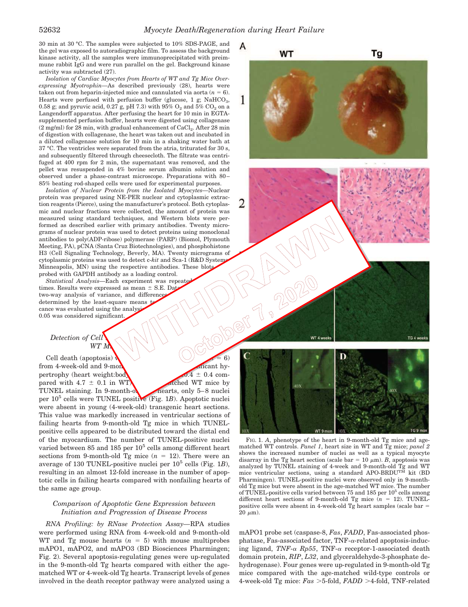А

**WT** 

30 min at 30 °C. The samples were subjected to 10% SDS-PAGE, and the gel was exposed to autoradiographic film. To assess the background kinase activity, all the samples were immunoprecipitated with preimmune rabbit IgG and were run parallel on the gel. Background kinase activity was subtracted (27).

*Isolation of Cardiac Myocytes from Hearts of WT and Tg Mice Overexpressing Myotrophin—*As described previously (28), hearts were taken out from heparin-injected mice and cannulated via aorta  $(n = 6)$ . Hearts were perfused with perfusion buffer (glucose,  $1$  g;  $\mathrm{NaHCO}_3,$ 0.58 g; and pyruvic acid, 0.27 g, pH 7.3) with  $95\%$   $\mathrm{O}_2$  and  $5\%$   $\mathrm{CO}_2$  on a Langendorff apparatus. After perfusing the heart for 10 min in EGTAsupplemented perfusion buffer, hearts were digested using collagenase  $(2 \text{ mg/ml})$  for  $28 \text{ min}$ , with gradual enhancement of  $\mathrm{CaCl}_2$ . After  $28 \text{ min}$ of digestion with collagenase, the heart was taken out and incubated in a diluted collagenase solution for 10 min in a shaking water bath at 37 °C. The ventricles were separated from the atria, triturated for 30 s, and subsequently filtered through cheesecloth. The filtrate was centrifuged at 400 rpm for 2 min, the supernatant was removed, and the pellet was resuspended in 4% bovine serum albumin solution and observed under a phase-contrast microscope. Preparations with 80– 85% beating rod-shaped cells were used for experimental purposes.

*Isolation of Nuclear Protein from the Isolated Myocytes—*Nuclear protein was prepared using NE-PER nuclear and cytoplasmic extraction reagents (Pierce), using the manufacturer's protocol. Both cytoplasmic and nuclear fractions were collected, the amount of protein was measured using standard techniques, and Western blots were performed as described earlier with primary antibodies. Twenty micrograms of nuclear protein was used to detect proteins using monoclonal antibodies to poly(ADP-ribose) polymerase (PARP) (Biomol, Plymouth Meeting, PA), pCNA (Santa Cruz Biotechnologies), and phosphohistone H3 (Cell Signaling Technology, Beverly, MA). Twenty micrograms of cytoplasmic proteins was used to detect c-*kit* and Sca-1 (R&D Systems Minneapolis, MN) using the respective antibodies. These blots probed with GAPDH antibody as a loading control.

*Statistical Analysis*—Each experiment was repeate times. Results were expressed as mean  $\pm$  S.E. Data two-way analysis of variance, and difference determined by the least-square means cance was evaluated using the analys 0.05 was considered significant.

#### *Detection of Cell*  $WT M$

Cell death (apoptosis) from 4-week-old and 9-month-old Tg micant hypertrophy (heart weight:body  $\sqrt{0.4 \pm 0.4}$  compared with  $4.7 \pm 0.1$  in WT) and alched WT mice by TUNEL staining. In  $9$ -month-old mearts, only  $5-8$  nuclei per 10<sup>5</sup> cells were TUNEL positive (Fig. 1B). Apoptotic nuclei were absent in young (4-week-old) transgenic heart sections. This value was markedly increased in ventricular sections of failing hearts from 9-month-old Tg mice in which TUNELpositive cells appeared to be distributed toward the distal end of the myocardium. The number of TUNEL-positive nuclei varied between  $85$  and  $185$  per  $10^5$  cells among different heart sections from 9-month-old Tg mice  $(n = 12)$ . There were an average of 130 TUNEL-positive nuclei per 10<sup>5</sup> cells (Fig. 1B), resulting in an almost 12-fold increase in the number of apoptotic cells in failing hearts compared with nonfailing hearts of the same age group.

 $\lambda$ 

#### *Comparison of Apoptotic Gene Expression between Initiation and Progression of Disease Process*

*RNA Profiling: by RNase Protection Assay—*RPA studies were performed using RNA from 4-week-old and 9-month-old WT and Tg mouse hearts  $(n = 5)$  with mouse multiprobes mAPO1, mAPO2, and mAPO3 (BD Biosciences Pharmingen; Fig. 2). Several apoptosis-regulating genes were up-regulated in the 9-month-old Tg hearts compared with either the agematched WT or 4-week-old Tg hearts. Transcript levels of genes involved in the death receptor pathway were analyzed using a



Tg

FIG. 1. *A*, phenotype of the heart in 9-month-old Tg mice and agematched WT controls. *Panel 1*, heart size in WT and Tg mice; *panel 2* shows the increased number of nuclei as well as a typical myocyte disarray in the Tg heart section (scale bar = 10  $\mu$ m). *B*, apoptosis was analyzed by TUNEL staining of 4-week and 9-month-old Tg and WT mice ventricular sections, using a standard APO-BRDUTM kit (BD Pharmingen). TUNEL-positive nuclei were observed only in 9-monthold Tg mice but were absent in the age-matched WT mice. The number of TUNEL-positive cells varied between 75 and 185 per 10<sup>5</sup> cells among different heart sections of 9-month-old Tg mice  $(n = 12)$ . TUNELpositive cells were absent in 4-week-old Tg heart samples (scale bar =  $20 \mu m$ ).

mAPO1 probe set (caspase-8, *Fas*, *FADD*, Fas-associated phosphatase, Fas-associated factor, TNF- $\alpha$ -related apoptosis-inducing ligand, *TNF-* $\alpha$  *Rp55*, TNF- $\alpha$  receptor-1-associated death domain protein, *RIP*, *L32*, and glyceraldehyde-3-phosphate dehydrogenase). Four genes were up-regulated in 9-month-old Tg mice compared with the age-matched wild-type controls or 4-week-old Tg mice:  $Fas > 5$ -fold,  $FADD > 4$ -fold, TNF-related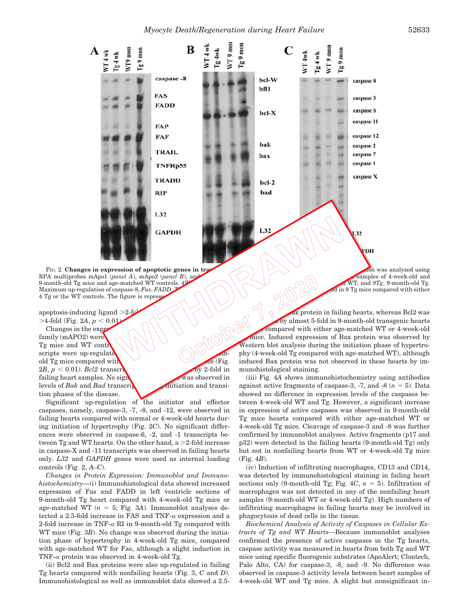

RPA multiprobes mApo1 (*panel A*), mApo2 (*panel B*), and map and map and map and map of 4-week-old and 9-month-old Tg month-old Tg. 9-month-old Tg. 9-month-old Tg mice and age-matched WT controls. *4WT* and *9Tg*, 9-month-old Tg. 4-week-old WT; and *9Tg*, 9-month-old Tg. 4-week-old WT; and *9Tg*, 9-month-old Tg. 4-week-old Tg. 4-week-old Tg. 4-week-old Tg. 4-week-old Maximum up-regulation of caspase-8, Fas, FADD, 4 Tg or the WT controls. The figure is represent

apoptosis-inducing ligand  $>2$ -fold  $>4$ -fold (Fig. 2*A*,  $p < 0.01$ )

Changes in the expr family (mAPO2) were  $Tg$  mice and WT controls. scripts were up-regulated signal significantly  $\bigcirc$  of  $\bigcirc$   $\bigcirc$   $\bigcirc$   $\bigcirc$  (Fig. old Tg mice compared with the WT or  $2B, p < 0.01$ . *Bcl2* transcription of the WT or 4-fold in  $2B, p < 0.01$ ).  $Bcl2$  transcri failing heart samples. No significant was observed in levels of  $Bak$  and  $Bad$  transcription and transilevels of *Bak* and *Bad* transcri tion phases of the disease.

Significant up-regulation of the initiator and effector caspases, namely, caspase-3, -7, -8, and -12, were observed in failing hearts compared with normal or 4-week-old hearts during initiation of hypertrophy (Fig. 2*C*). No significant differences were observed in caspase-6, -2, and -1 transcripts between Tg and WT hearts. On the other hand,  $a > 2$ -fold increase in caspase-X and -11 transcripts was observed in failing hearts only. *L32* and *GAPDH* genes were used as internal loading controls (Fig. 2, *A–C*).

*Changes in Protein Expression: Immunoblot and Immunohistochemistry—*(i) Immunohistological data showed increased expression of Fas and FADD in left ventricle sections of 9-month-old Tg heart compared with 4-week-old Tg mice or age-matched WT  $(n = 5; Fig. 3A)$ . Immunoblot analyses detected a 2.5-fold increase in FAS and TNF- $\alpha$  expression and a 2-fold increase in TNF- $\alpha$  RI in 9-month-old Tg compared with WT mice (Fig. 3*B*). No change was observed during the initiation phase of hypertrophy in 4-week-old Tg mice, compared with age-matched WT for Fas, although a slight induction in TNF- $\alpha$  protein was observed in 4-week-old Tg.

(ii) Bcl2 and Bax proteins were also up-regulated in failing Tg hearts compared with nonfailing hearts (Fig. 3, *C* and *D*). Immunohistological as well as immunoblot data showed a 2.5-

ix protein in failing hearts, whereas Bcl2 was by almost 5-fold in 9-month-old transgenic hearts (*n* compared with either age-matched WT or 4-week-old mice. Induced expression of Bax protein was observed by Western blot analysis during the initiation phase of hypertrophy (4-week-old Tg compared with age-matched WT), although induced Bax protein was not observed in these hearts by immunohistological staining.

> (iii) Fig. 4*A* shows immunohistochemistry using antibodies against active fragments of caspase-3,  $-7$ , and  $-8$   $(n = 5)$ . Data showed no difference in expression levels of the caspases between 4-week-old WT and Tg. However, a significant increase in expression of active caspases was observed in 9-month-old Tg mice hearts compared with either age-matched WT or 4-week-old Tg mice. Cleavage of caspase-3 and -8 was further confirmed by immunoblot analyses. Active fragments (p17 and p32) were detected in the failing hearts (9-month-old Tg) only but not in nonfailing hearts from WT or 4-week-old Tg mice (Fig. 4*B*).

> (iv) Induction of infiltrating macrophages, CD13 and CD14, was detected by immunohistological staining in failing heart sections only (9-month-old Tg; Fig.  $4C$ ,  $n = 5$ ). Infiltration of macrophages was not detected in any of the nonfailing heart samples (9-month-old WT or 4-week-old Tg). High numbers of infiltrating macrophages in failing hearts may be involved in phagocytosis of dead cells in the tissue.

> *Biochemical Analysis of Activity of Caspases in Cellular Extracts of Tg and WT Hearts—*Because immunoblot analyses confirmed the presence of active caspases in the Tg hearts, caspase activity was measured in hearts from both Tg and WT mice using specific fluorogenic substrates (ApoAlert; Clontech, Palo Alto, CA) for caspase-3, -8, and -9. No difference was observed in caspase-3 activity levels between heart samples of 4-week-old WT and Tg mice. A slight but nonsignificant in-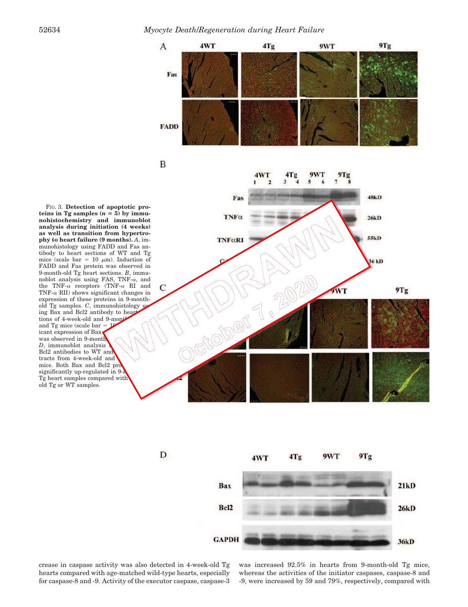



crease in caspase activity was also detected in 4-week-old Tg hearts compared with age-matched wild-type hearts, especially for caspase-8 and -9. Activity of the executor caspase, caspase-3 was increased 92.5% in hearts from 9-month-old Tg mice, whereas the activities of the initiator caspases, caspase-8 and -9, were increased by 59 and 79%, respectively, compared with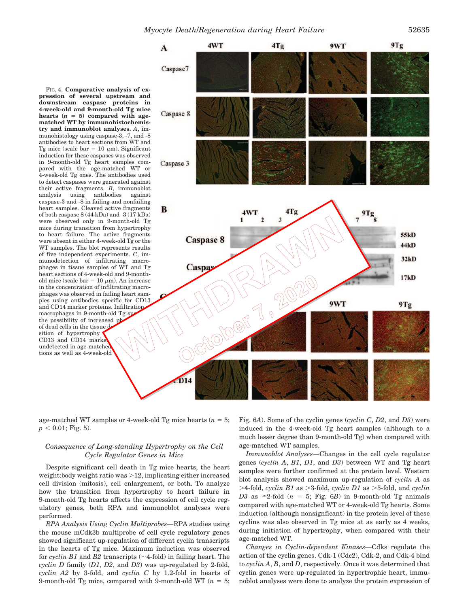FIG. 4. **Comparative analysis of expression of several upstream and downstream caspase proteins in 4-week-old and 9-month-old Tg mice** hearts  $(n = 5)$  compared with age**matched WT by immunohistochemistry and immunoblot analyses.** *A*, immunohistology using caspase-3, -7, and -8 antibodies to heart sections from WT and Tg mice (scale bar =  $10 \mu$ m). Significant induction for these caspases was observed in 9-month-old Tg heart samples compared with the age-matched WT or 4-week-old Tg ones. The antibodies used to detect caspases were generated against their active fragments. *B*, immunoblot analysis using antibodies against caspase-3 and -8 in failing and nonfailing heart samples. Cleaved active fragments of both caspase 8 (44 kDa) and -3 (17 kDa) were observed only in 9-month-old Tg mice during transition from hypertrophy to heart failure. The active fragments were absent in either 4-week-old Tg or the WT samples. The blot represents results of five independent experiments. *C*, immunodetection of infiltrating macrophages in tissue samples of WT and Tg heart sections of 4-week-old and 9-monthold mice (scale bar =  $10 \mu m$ ). An increase in the concentration of infiltrating macrophages was observed in failing heart samples using antibodies specific for CD13 and CD14 marker proteins. Infiltration macrophages in 9-month-old Tg su the possibility of increased ph of dead cells in the tissue d sition of hypertrophy CD13 and CD14 market undetected in age-matched tions as well as 4-week-old



age-matched WT samples or 4-week-old Tg mice hearts  $(n = 5;$  $p < 0.01$ ; Fig. 5).

## *Consequence of Long-standing Hypertrophy on the Cell Cycle Regulator Genes in Mice*

Despite significant cell death in Tg mice hearts, the heart weight: body weight ratio was  $>12$ , implicating either increased cell division (mitosis), cell enlargement, or both. To analyze how the transition from hypertrophy to heart failure in 9-month-old Tg hearts affects the expression of cell cycle regulatory genes, both RPA and immunoblot analyses were performed.

*RPA Analysis Using Cyclin Multiprobes—*RPA studies using the mouse mCdk3b multiprobe of cell cycle regulatory genes showed significant up-regulation of different cyclin transcripts in the hearts of Tg mice. Maximum induction was observed for *cyclin B1* and *B2* transcripts  $(\sim 4$ -fold) in failing heart. The *cyclin D* family (*D1*, *D2*, and *D3*) was up-regulated by 2-fold, *cyclin A2* by 3-fold, and *cyclin C* by 1.2-fold in hearts of 9-month-old Tg mice, compared with 9-month-old WT  $(n = 5;$ 

Fig. 6*A*). Some of the cyclin genes (*cyclin C*, *D2*, and *D3*) were induced in the 4-week-old Tg heart samples (although to a much lesser degree than 9-month-old Tg) when compared with age-matched WT samples.

*Immunoblot Analyses—*Changes in the cell cycle regulator genes (*cyclin A*, *B1*, *D1*, and *D3*) between WT and Tg heart samples were further confirmed at the protein level. Western blot analysis showed maximum up-regulation of *cyclin A* as  $>$ 4-fold, *cyclin B1* as  $>$ 3-fold, *cyclin D1* as  $>$ 5-fold, and *cyclin* D3 as  $\geq$ 2-fold (*n* = 5; Fig. 6*B*) in 9-month-old Tg animals compared with age-matched WT or 4-week-old Tg hearts. Some induction (although nonsignficant) in the protein level of these cyclins was also observed in Tg mice at as early as 4 weeks, during initiation of hypertrophy, when compared with their age-matched WT.

*Changes in Cyclin-dependent Kinases—*Cdks regulate the action of the cyclin genes. Cdk-1 (Cdc2), Cdk-2, and Cdk-4 bind to *cyclin A*, *B*, and *D*, respectively. Once it was determined that cyclin genes were up-regulated in hypertrophic heart, immunoblot analyses were done to analyze the protein expression of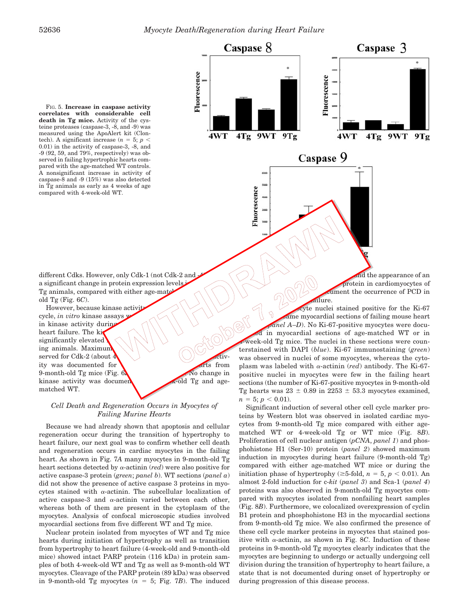

 5, *p* 0.01). No change in anel A–D). No Ki-67-positive myocytes were documented in myocardial sections of age-matched WT or in week-old Tg mice. The nuclei in these sections were counterstained with DAPI (*blue*). Ki-67 immunostaining (*green*) was observed in nuclei of some myocytes, whereas the cytoplasm was labeled with  $\alpha$ -actinin (*red*) antibody. The Ki-67positive nuclei in myocytes were few in the failing heart sections (the number of Ki-67-positive myocytes in 9-month-old Tg hearts was  $23 \pm 0.89$  in  $2253 \pm 53.3$  myocytes examined,  $n = 5$ ;  $p < 0.01$ ).

> Significant induction of several other cell cycle marker proteins by Western blot was observed in isolated cardiac myocytes from 9-month-old Tg mice compared with either agematched WT or 4-week-old Tg or WT mice (Fig. 8*B*). Proliferation of cell nuclear antigen (*pCNA*, *panel 1*) and phosphohistone H1 (Ser-10) protein (*panel 2*) showed maximum induction in myocytes during heart failure (9-month-old Tg) compared with either age-matched WT mice or during the initiation phase of hypertrophy ( $\geq$ 5-fold, *n* = 5, *p* < 0.01). An almost 2-fold induction for c-*kit* (*panel 3*) and Sca-1 (*panel 4*) proteins was also observed in 9-month-old Tg myocytes compared with myocytes isolated from nonfailing heart samples (Fig. 8*B*). Furthermore, we colocalized overexpression of cyclin B1 protein and phosphohistone H3 in the myocardial sections from 9-month-old Tg mice. We also confirmed the presence of these cell cycle marker proteins in myocytes that stained positive with  $\alpha$ -actinin, as shown in Fig. 8*C*. Induction of these proteins in 9-month-old Tg myocytes clearly indicates that the myocytes are beginning to undergo or actually undergoing cell division during the transition of hypertrophy to heart failure, a state that is not documented during onset of hypertrophy or during progression of this disease process.

FIG. 5. **Increase in caspase activity correlates with considerable cell death in Tg mice.** Activity of the cysteine proteases (caspase-3, -8, and -9) was measured using the ApoAlert kit (Clontech). A significant increase  $(n = 5; p <$ 0.01) in the activity of caspase-3, -8, and -9 (92, 59, and 79%, respectively) was observed in failing hypertrophic hearts compared with the age-matched WT controls. A nonsignificant increase in activity of caspase-8 and -9 (15%) was also detected in Tg animals as early as 4 weeks of age compared with 4-week-old WT.

different Cdks. However, only Cdk-1 (not Cdk-2 and a significant change in protein expression levels Tg animals, compared with either age-mate old Tg (Fig. 6*C*).

However, because kinase activity<br>
cle, *in vitro* kinase assays<br>
kinase activity during sexted<br>
ganificantly elevated  $\left(\begin{array}{c} \setminus \setminus \setminus \setminus \setminus \end{array}\right)$ cycle, *in vitro* kinase assays in kinase activity during heart failure. The ki significantly elevated ing animals. Maximum served for Cdk-2 (about  $\bf{A}$   $\qquad \qquad$   $\qquad$   $\qquad$   $\qquad$   $\qquad$   $\qquad$   $\qquad$   $\qquad$   $\qquad$   $\qquad$   $\qquad$   $\qquad$   $\qquad$   $\qquad$   $\qquad$   $\qquad$   $\qquad$   $\qquad$   $\qquad$   $\qquad$   $\qquad$   $\qquad$   $\qquad$   $\qquad$   $\qquad$   $\qquad$   $\qquad$   $\qquad$   $\qquad$   $\qquad$   $\qquad$  ity was documented for  $\bullet$ 9-month-old Tg mice (Fig. 6<sup>1</sup>) kinase activity was document  $\mathbb{R}$ -old Tg and agematched WT.

*Cell Death and Regeneration Occurs in Myocytes of Failing Murine Hearts*

Because we had already shown that apoptosis and cellular regeneration occur during the transition of hypertrophy to heart failure, our next goal was to confirm whether cell death and regeneration occurs in cardiac myocytes in the failing heart. As shown in Fig. 7*A* many myocytes in 9-month-old Tg heart sections detected by  $\alpha$ -actinin (*red*) were also positive for active caspase-3 protein (*green*; *panel b*). WT sections (*panel a*) did not show the presence of active caspase 3 proteins in myocytes stained with  $\alpha$ -actinin. The subcellular localization of active caspase-3 and  $\alpha$ -actinin varied between each other, whereas both of them are present in the cytoplasm of the myocytes. Analysis of confocal microscopic studies involved myocardial sections from five different WT and Tg mice.

Nuclear protein isolated from myocytes of WT and Tg mice hearts during initiation of hypertrophy as well as transition from hypertrophy to heart failure (4-week-old and 9-month-old mice) showed intact PARP protein (116 kDa) in protein samples of both 4-week-old WT and Tg as well as 9-month-old WT myocytes. Cleavage of the PARP protein (89 kDa) was observed in 9-month-old Tg myocytes  $(n = 5; Fig. 7B)$ . The induced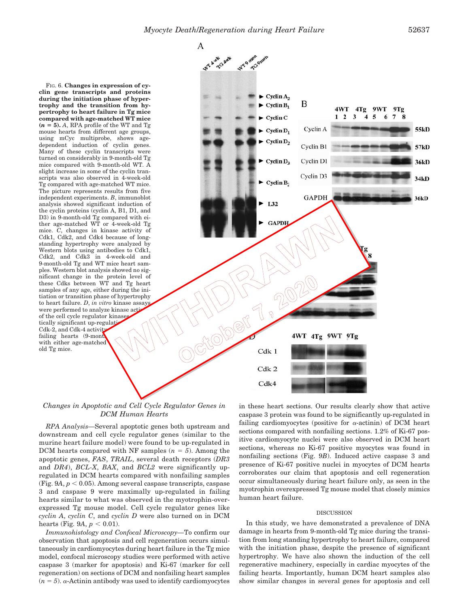А



## *Changes in Apoptotic and Cell Cycle Regulator Genes in DCM Human Hearts*

*RPA Analysis—*Several apoptotic genes both upstream and downstream and cell cycle regulator genes (similar to the murine heart failure model) were found to be up-regulated in DCM hearts compared with NF samples  $(n = 5)$ . Among the apoptotic genes, *FAS*, *TRAIL*, several death receptors (*DR3* and *DR4*), *BCL-X*, *BAX*, and *BCL2* were significantly upregulated in DCM hearts compared with nonfailing samples (Fig.  $9A, p \le 0.05$ ). Among several caspase transcripts, caspase 3 and caspase 9 were maximally up-regulated in failing hearts similar to what was observed in the myotrophin-overexpressed Tg mouse model. Cell cycle regulator genes like *cyclin A*, *cyclin C*, and *cyclin D* were also turned on in DCM hearts (Fig. 9A,  $p < 0.01$ ).

*Immunohistology and Confocal Microscopy—*To confirm our observation that apoptosis and cell regeneration occurs simultaneously in cardiomyocytes during heart failure in the Tg mice model, confocal microscopy studies were performed with active caspase 3 (marker for apoptosis) and Ki-67 (marker for cell regeneration) on sections of DCM and nonfailing heart samples  $(n = 5)$ .  $\alpha$ -Actinin antibody was used to identify cardiomyocytes

in these heart sections. Our results clearly show that active caspase 3 protein was found to be significantly up-regulated in failing cardiomyocytes (positive for  $\alpha$ -actinin) of DCM heart sections compared with nonfailing sections. 1.2% of Ki-67 positive cardiomyocyte nuclei were also observed in DCM heart sections, whereas no Ki-67 positive myocytes was found in nonfailing sections (Fig. 9*B*). Induced active caspase 3 and presence of Ki-67 positive nuclei in myocytes of DCM hearts corroborates our claim that apoptosis and cell regeneration occur simultaneously during heart failure only, as seen in the myotrophin overexpressed Tg mouse model that closely mimics human heart failure.

#### DISCUSSION

In this study, we have demonstrated a prevalence of DNA damage in hearts from 9-month-old Tg mice during the transition from long standing hypertrophy to heart failure, compared with the initiation phase, despite the presence of significant hypertrophy. We have also shown the induction of the cell regenerative machinery, especially in cardiac myocytes of the failing hearts. Importantly, human DCM heart samples also show similar changes in several genes for apoptosis and cell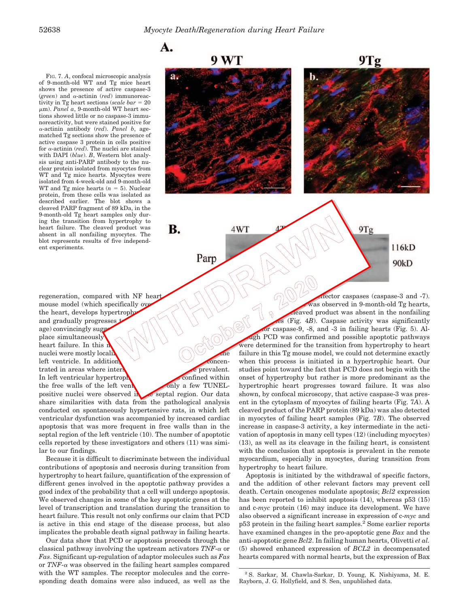FIG. 7. *A*, confocal microscopic analysis of 9-month-old WT and Tg mice heart shows the presence of active caspase-3 (*green*) and  $\alpha$ -actinin (*red*) immunoreactivity in Tg heart sections (scale bar = 20 μm). Panel a, 9-month-old WT heart sections showed little or no caspase-3 immunoreactivity, but were stained positive for -actinin antibody (*red*). *Panel b*, agematched Tg sections show the presence of active caspase 3 protein in cells positive for  $\alpha$ -actinin (*red*). The nuclei are stained with DAPI (*blue*). *B*, Western blot analysis using anti-PARP antibody to the nuclear protein isolated from myocytes from WT and Tg mice hearts. Myocytes were isolated from 4-week-old and 9-month-old WT and Tg mice hearts  $(n = 5)$ . Nuclear protein, from these cells was isolated as described earlier. The blot shows a cleaved PARP fragment of 89 kDa, in the 9-month-old Tg heart samples only during the transition from hypertrophy to heart failure. The cleaved product was absent in all nonfailing myocytes. The blot represents results of five independent experiments.



regeneration, compared with NF heart<br>mouse model (which specifically over<br>the heart, develops hypertroph<br>and gradually progresses<br>age) convincingly suggestion and the Tailure. In this representation<br>muclei were mouse model (which specifically over the heart, develops hypertrophy and gradually progresses age) convincingly suggest place simultaneously heart failure. In this  $\frac{1}{L}$ nuclei were mostly localiz left ventricle. In addition,  $\sqrt{\frac{2}{\pi}}$  concentrated in areas where interstitution of the prevalent. In left ventricular hypertrophy,  $\sim$  confined within the free walls of the left ventricle, and only a few TUNELpositive nuclei were observed in the septal region. Our data share similarities with data from the pathological analysis conducted on spontaneously hypertensive rats, in which left ventricular dysfunction was accompanied by increased cardiac apoptosis that was more frequent in free walls than in the septal region of the left ventricle (10). The number of apoptotic cells reported by these investigators and others (11) was similar to our findings.

Because it is difficult to discriminate between the individual contributions of apoptosis and necrosis during transition from hypertrophy to heart failure, quantification of the expression of different genes involved in the apoptotic pathway provides a good index of the probability that a cell will undergo apoptosis. We observed changes in some of the key apoptotic genes at the level of transcription and translation during the transition to heart failure. This result not only confirms our claim that PCD is active in this end stage of the disease process, but also implicates the probable death signal pathway in failing hearts.

Our data show that PCD or apoptosis proceeds through the classical pathway involving the upstream activators  $TNF-\alpha$  or *Fas*. Significant up-regulation of adaptor molecules such as *Fas* or  $TNF-\alpha$  was observed in the failing heart samples compared with the WT samples. The receptor molecules and the corresponding death domains were also induced, as well as the failure in this Tg mouse model, we could not determine exactly when this process is initiated in a hypertrophic heart. Our studies point toward the fact that PCD does not begin with the onset of hypertrophy but rather is more predominant as the hypertrophic heart progresses toward failure. It was also shown, by confocal microscopy, that active caspase-3 was present in the cytoplasm of myocytes of failing hearts (Fig. 7*A*). A cleaved product of the PARP protein (89 kDa) was also detected in myocytes of failing heart samples (Fig. 7*B*). The observed increase in caspase-3 activity, a key intermediate in the activation of apoptosis in many cell types (12) (including myocytes) (13), as well as its cleavage in the failing heart, is consistent with the conclusion that apoptosis is prevalent in the remote myocardium, especially in myocytes, during transition from hypertrophy to heart failure.

Apoptosis is initiated by the withdrawal of specific factors, and the addition of other relevant factors may prevent cell death. Certain oncogenes modulate apoptosis; *Bcl2* expression has been reported to inhibit apoptosis (14), whereas p53 (15) and c-*myc* protein (16) may induce its development. We have also observed a significant increase in expression of c-*myc* and p53 protein in the failing heart samples.<sup>2</sup> Some earlier reports have examined changes in the pro-apoptotic gene *Bax* and the anti-apoptotic gene *Bcl2*. In failing human hearts, Olivetti *et al.* (5) showed enhanced expression of *BCL2* in decompensated hearts compared with normal hearts, but the expression of Bax

<sup>2</sup> S. Sarkar, M. Chawla-Sarkar, D. Young, K. Nishiyama, M. E. Rayborn, J. G. Hollyfield, and S. Sen, unpublished data.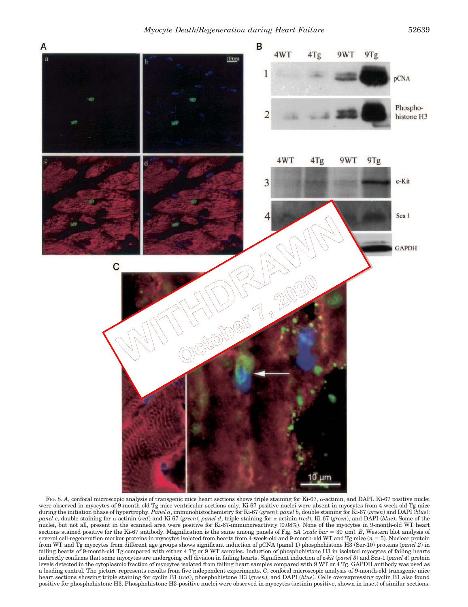

FIG. 8. A, confocal microscopic analysis of transgenic mice heart sections shows triple staining for Ki-67,  $\alpha$ -actinin, and DAPI. Ki-67 positive nuclei were observed in myocytes of 9-month-old Tg mice ventricular sections only. Ki-67 positive nuclei were absent in myocytes from 4-week-old Tg mice during the initiation phase of hypertrophy. *Panel a*, immunohistochemistry for Ki-67 (*green*); *panel b*, double staining for Ki-67 (*green*) and DAPI (*blue*); *panel c*, double staining for  $\alpha$ -actinin (*red*) and Ki-67 (*green*); *panel d*, triple staining for  $\alpha$ -actinin (*red*), Ki-67 (*green*), and DAPI (*blue*). Some of the nuclei, but not all, present in the scanned area were positive for Ki-67-immunoreactivity (0.08%). None of the myocytes in 9-month-old WT heart sections stained positive for the Ki-67 antibody. Magnification is the same among panels of Fig. 8*A* (*scale bar*  $= 30 \mu m$ ). *B*, Western blot analysis of several cell-regeneration marker proteins in myocytes isolated from hearts from 4-week-old and 9-month-old WT and Tg mice (*n* = 5). Nuclear protein from WT and Tg myocytes from different age groups shows significant induction of pCNA (panel 1) phosphohistone H3 (Ser-10) proteins (*panel 2*) in failing hearts of 9-month-old Tg compared with either 4 Tg or 9 WT samples. Induction of phosphohistone H3 in isolated myocytes of failing hearts indirectly confirms that some myocytes are undergoing cell division in failing hearts. Significant induction of c-*kit* (*panel 3*) and Sca-1 (*panel 4*) protein levels detected in the cytoplasmic fraction of myocytes isolated from failing heart samples compared with 9 WT or 4 Tg. GAPDH antibody was used as a loading control. The picture represents results from five independent experiments. *C*, confocal microscopic analysis of 9-month-old transgenic mice heart sections showing triple staining for cyclin B1 (*red*), phosphohistone H3 (*green*), and DAPI (*blue*). Cells overexpressing cyclin B1 also found positive for phosphohistone H3. Phosphohistone H3-positive nuclei were observed in myocytes (actinin positive, shown in inset) of similar sections.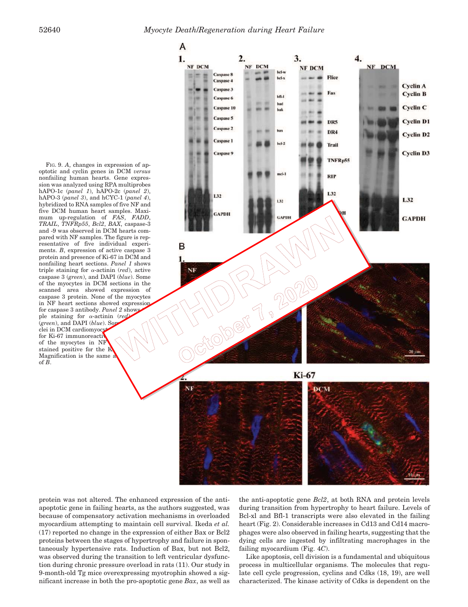

protein was not altered. The enhanced expression of the antiapoptotic gene in failing hearts, as the authors suggested, was because of compensatory activation mechanisms in overloaded myocardium attempting to maintain cell survival. Ikeda *et al.* (17) reported no change in the expression of either Bax or Bcl2 proteins between the stages of hypertrophy and failure in spontaneously hypertensive rats. Induction of Bax, but not Bcl2, was observed during the transition to left ventricular dysfunction during chronic pressure overload in rats (11). Our study in 9-month-old Tg mice overexpressing myotrophin showed a significant increase in both the pro-apoptotic gene *Bax*, as well as

the anti-apoptotic gene *Bcl2*, at both RNA and protein levels during transition from hypertrophy to heart failure. Levels of Bcl-xl and Bfl-1 transcripts were also elevated in the failing heart (Fig. 2). Considerable increases in Cd13 and Cd14 macrophages were also observed in failing hearts, suggesting that the dying cells are ingested by infiltrating macrophages in the failing myocardium (Fig. 4*C*).

Like apoptosis, cell division is a fundamental and ubiquitous process in multicellular organisms. The molecules that regulate cell cycle progression, cyclins and Cdks (18, 19), are well characterized. The kinase activity of Cdks is dependent on the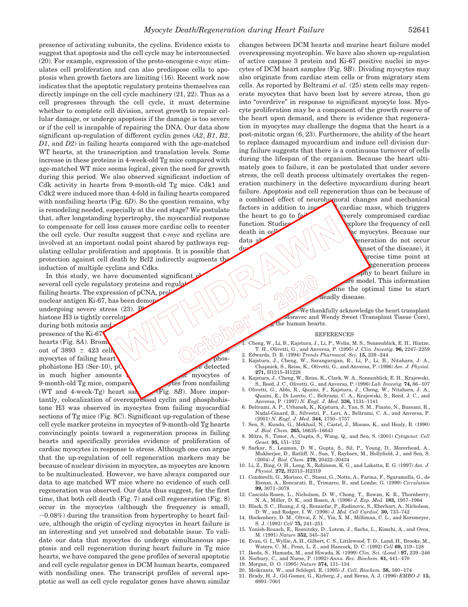presence of activating subunits, the cyclins. Evidence exists to suggest that apoptosis and the cell cycle may be interconnected (20). For example, expression of the proto-oncogene c-*myc* stimulates cell proliferation and can also predispose cells to apoptosis when growth factors are limiting (16). Recent work now indicates that the apoptotic regulatory proteins themselves can directly impinge on the cell cycle machinery (21, 22). Thus as a cell progresses through the cell cycle, it must determine whether to complete cell division, arrest growth to repair cellular damage, or undergo apoptosis if the damage is too severe or if the cell is incapable of repairing the DNA. Our data show significant up-regulation of different cyclin genes (*A2*, *B1*, *B2*, *D1*, and *D2*) in failing hearts compared with the age-matched WT hearts, at the transcription and translation levels. Some increase in these proteins in 4-week-old Tg mice compared with age-matched WT mice seems logical, given the need for growth during this period. We also observed significant induction of Cdk activity in hearts from 9-month-old Tg mice. Cdk1 and Cdk2 were induced more than 4-fold in failing hearts compared with nonfailing hearts (Fig. 6*D*). So the question remains, why is remodeling needed, especially at the end stage? We postulate that, after longstanding hypertrophy, the myocardial response to compensate for cell loss causes more cardiac cells to reenter the cell cycle. Our results suggest that c-*myc* and cyclins are involved at an important nodal point shared by pathways regulating cellular proliferation and apoptosis. It is possible that protection against cell death by Bcl2 indirectly augments the induction of multiple cyclins and Cdks.

In this study, we have documented significant  $\boldsymbol{\beta}$ several cell cycle regulatory proteins and regula failing hearts. The expression of  $pCNA$ ,  $pr\ddot{\phi}$ nuclear antigen Ki-67, has been demonstrated undergoing severe stress (23).<br>
histone H3 is tightly correlated uning both mitosis and<br>
presence of the Ki-67<br>
hearts (Fig. 8A). Brome out of 3893  $\pm$  499 undergoing severe stress  $(23)$ . Photo histone H3 is tightly correlate during both mitosis and presence of the Ki-67 hearts (Fig. 8A). Brom out of 3893  $\pm$  423 cell myocytes of failing heart  $\bigvee$  phosphohistone H3 (Ser-10), p**C** edetected in much higher amounts  $\bigwedge$  expressed cardiac myocytes of 9-month-old Tg mice, compared with mytes from nonfailing (WT and 4-week-Tg) heart samples (Fig. 8*B*). More importantly, colocalization of overexpressed cyclin and phosphohistone H3 was observed in myocytes from failing myocardial sections of Tg mice (Fig. 8*C*). Significant up-regulation of these cell cycle marker proteins in myocytes of 9-month-old Tg hearts convincingly points toward a regeneration process in failing hearts and specifically provides evidence of proliferation of cardiac myocytes in response to stress. Although one can argue that the up-regulation of cell regeneration markers may be because of nuclear division in myocytes, as myocytes are known to be multinucleated. However, we have always compared our data to age matched WT mice where no evidence of such cell regeneration was observed. Our data thus suggest, for the first time, that both cell death (Fig. 7) and cell regeneration (Fig. 8) occur in the myocytes (although the frequency is small,  $\sim$ 0.08%) during the transition from hypertrophy to heart failure, although the origin of cycling myocytes in heart failure is an interesting and yet unsolved and debatable issue. To validate our data that myocytes do undergo simultaneous apoptosis and cell regeneration during heart failure in Tg mice hearts, we have compared the gene profiles of several apoptotic and cell cycle regulator genes in DCM human hearts, compared with nonfailing ones. The transcript profiles of several apoptotic as well as cell cycle regulator genes have shown similar

changes between DCM hearts and murine heart failure model overexpressing myotrophin. We have also shown up-regulation of active caspase 3 protein and Ki-67 positive nuclei in myocytes of DCM heart samples (Fig. 9*B*). Dividing myocytes may also originate from cardiac stem cells or from migratory stem cells. As reported by Beltrami *et al.* (25) stem cells may regenerate myocytes that have been lost by severe stress, then go into "overdrive" in response to significant myocyte loss. Myocyte proliferation may be a component of the growth reserve of the heart upon demand, and there is evidence that regeneration in myocytes may challenge the dogma that the heart is a post-mitotic organ (6, 23). Furthermore, the ability of the heart to replace damaged myocardium and induce cell division during failure suggests that there is a continuous turnover of cells during the lifespan of the organism. Because the heart ultimately goes to failure, it can be postulated that under severe stress, the cell death process ultimately overtakes the regeneration machinery in the defective myocardium during heart failure. Apoptosis and cell regeneration thus can be because of a combined effect of neurohumoral changes and mechanical factors in addition to increase cardiac mass, which triggers

the heart to go to  $f_a$  werely compromised cardiac function. Studies  $\sim$   $\sqrt{2}$  splore the frequency of cell death in cell  $\left\{\left\langle \right\rangle \right\}$  to myocytes. Because our data show  $\left( \left( \left\langle \right. \right) \right)$  reperation do not occur  $d\nu$   $\langle \setminus | \setminus \setminus \setminus \setminus \setminus \rangle$  phase of the disease), it precise time point at egeneration process phy to heart failure in re model. This information ine the optimal time to start teadly disease.

> We thankfully acknowledge the heart transplant Moravec and Wendy Sweet (Transplant Tissue Core), the human hearts.

### REFERENCES

- 1. Cheng, W., Li, B., Kajstura, J., Li, P., Wolin, M. S., Sonnenblick, E. H., Hintze, T. H., Olivetti, G., and Anversa, P. (1995) *J. Clin. Investig.* **96,** 2247–2259 2. Edwards, D. R. (1994) *Trends Pharmacol. Sci.* **15,** 239–244
- 3. Kajstura, J., Cheng, W., Sarangarajan, R., Li, P., Li, B., Nitahara, J. A., Chapnick, S., Reiss, K., Olivetti, G., and Anversa, P. (1996) *Am. J. Physiol.* **271,** H1215–H1228
- 4. Kajstura, J., Cheng, W., Reiss, K., Clark, W. A., Sonnenblick, E. H., Krajewski, S., Reed, J. C., Olivetti, G., and Anversa, P. (1996) *Lab. Investig.* **74,** 86–107
- 5. Olivetti, G., Abbi, R., Quaini, F., Kajstura, J., Cheng, W., Nitahara, J. A., Quaini, E., Di Loreto, C., Beltrami, C. A., Krajewski, S., Reed, J. C., and Anversa, P. (1997) *N. Engl. J. Med.* **336,** 1131–1141
- 6. Beltrami, A. P., Urbanek, K., Kajstura, J., Yan, S. M., Finato, N., Bussani, R., Nadal-Ginard, B., Silvestri, F., Leri, A., Beltrami, C. A., and Anversa, P. (2001) *N. Engl. J. Med.* **344,** 1750–1757
- 7. Sen, S., Kundu, G., Mekhail, N., Castel, J., Misono, K., and Healy, B. (1990) *J. Biol. Chem.* **265,** 16635–16643
- 8. Mitra, S., Timor, A., Gupta, S., Wang, Q., and Sen, S. (2001) *Cytogenet. Cell Genet.* **93,** 151–152
- 9. Sarkar, S., Leaman, D. W., Gupta, S., Sil, P., Young, D., Morerhead, A., Mukherjee, D., Ratliff, N., Sun, Y, Rayborn, M., Hollyfield, J., and Sen, S. (2004) *J. Biol. Chem.* **279,** 20422–20434
- 10. Li, Z., Bing, O. H., Long, X., Robinson, K. G., and Lakatta, E. G. (1997) *Am. J. Physiol.* **272,** H2313–H2319
- 11. Condorelli, G., Morisco, C., Stassi, G., Notte, A., Farina, F., Sgaramella, G., de Rienzo, A., Roncarati, R., Trimarco, B., and Lembo, G. (1999) *Circulation* **99,** 3071–3078
- 12. Casciola-Rosen, L., Nicholson, D. W., Chong, T., Rowan, K. R., Thornberry, N. A., Miller, D. K., and Rosen, A. (1996) *J. Exp. Med.* **183,** 1957–1964
- 13. Black, S. C., Huang, J. Q., Rezaiefar, P., Radinovic, S., Eberhart, A., Nicholson, D. W., and Rodger, I. W. (1998) *J. Mol. Cell Cardiol.* **30,** 733–742
- 14. Hockenbery, D. M., Oltvai, Z. N., Yin, X. M., Milliman, C. L., and Korsmeyer, S. J. (1993) *Cell* **75,** 241–251
- 15. Yonish-Rouach, E., Resnitzky, D., Lotem, J., Sachs, L., Kimchi, A., and Oren, M. (1991) *Nature* **352,** 345–347
- 16. Evan, G. I., Wyllie, A. H., Gilbert, C. S., Littlewood, T. D., Land, H., Brooks, M., Waters, C. M., Penn, L. Z., and Hancock, D. C. (1992) *Cell* **69,** 119–128 17. Ikeda, S., Hamada, M., and Hiwada, K. (1999) *Clin. Sci.* (*Lond.*) **97,** 239–246
- 18. Norbury, C., and Nurse, P. (1992) *Annu. Rev. Biochem.* **61,** 441–470
- 19. Morgan, D. O. (1995) *Nature* **374,** 131–134
- 20. Meikrantz, W., and Schlegel, R. (1995) *J. Cell. Biochem.* **58,** 160–174
- 21. Brady, H. J., Gil-Gomez, G., Kirberg, J., and Berns, A. J. (1996) *EMBO J.* **15,** 6991–7001